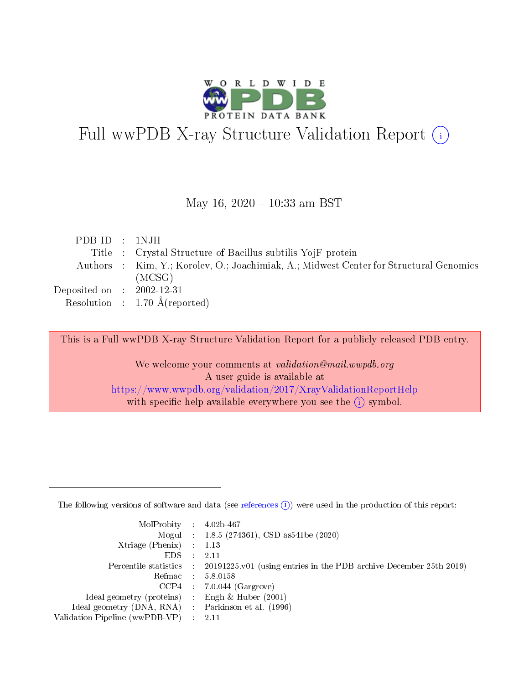

# Full wwPDB X-ray Structure Validation Report (i)

#### May 16,  $2020 - 10:33$  am BST

| PDB ID : 1NJH               |                                                                                        |
|-----------------------------|----------------------------------------------------------------------------------------|
|                             | Title : Crystal Structure of Bacillus subtilis YojF protein                            |
|                             | Authors : Kim, Y.; Korolev, O.; Joachimiak, A.; Midwest Center for Structural Genomics |
|                             | (MCSG)                                                                                 |
| Deposited on : $2002-12-31$ |                                                                                        |
|                             | Resolution : 1.70 $\AA$ (reported)                                                     |

This is a Full wwPDB X-ray Structure Validation Report for a publicly released PDB entry.

We welcome your comments at validation@mail.wwpdb.org A user guide is available at <https://www.wwpdb.org/validation/2017/XrayValidationReportHelp> with specific help available everywhere you see the  $(i)$  symbol.

The following versions of software and data (see [references](https://www.wwpdb.org/validation/2017/XrayValidationReportHelp#references)  $(1)$ ) were used in the production of this report:

| $MolProbability$ : 4.02b-467                        |                                                                                            |
|-----------------------------------------------------|--------------------------------------------------------------------------------------------|
|                                                     | Mogul : 1.8.5 (274361), CSD as 541be (2020)                                                |
| Xtriage (Phenix) $: 1.13$                           |                                                                                            |
| EDS :                                               | -2.11                                                                                      |
|                                                     | Percentile statistics : 20191225.v01 (using entries in the PDB archive December 25th 2019) |
| Refmac 58.0158                                      |                                                                                            |
|                                                     | $CCP4$ 7.0.044 (Gargrove)                                                                  |
| Ideal geometry (proteins) : Engh $\&$ Huber (2001)  |                                                                                            |
| Ideal geometry (DNA, RNA) : Parkinson et al. (1996) |                                                                                            |
| Validation Pipeline (wwPDB-VP) : 2.11               |                                                                                            |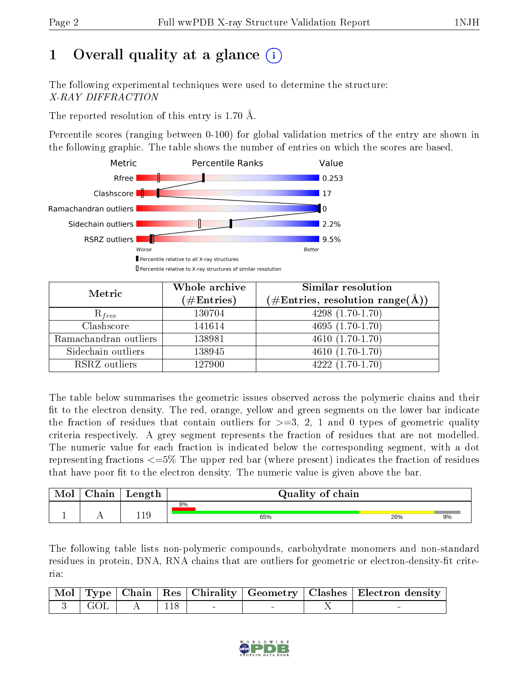# 1 [O](https://www.wwpdb.org/validation/2017/XrayValidationReportHelp#overall_quality)verall quality at a glance (i)

The following experimental techniques were used to determine the structure: X-RAY DIFFRACTION

The reported resolution of this entry is 1.70 Å.

Percentile scores (ranging between 0-100) for global validation metrics of the entry are shown in the following graphic. The table shows the number of entries on which the scores are based.



| Metric                | Whole archive<br>$(\#\mathrm{Entries})$ | Similar resolution<br>$(\#\text{Entries}, \text{resolution range}(\text{\AA}))$ |
|-----------------------|-----------------------------------------|---------------------------------------------------------------------------------|
| $R_{free}$            | 130704                                  | $4298(1.70-1.70)$                                                               |
| Clashscore            | 141614                                  | $4695(1.70-1.70)$                                                               |
| Ramachandran outliers | 138981                                  | $\overline{4610}$ $(1.70-1.70)$                                                 |
| Sidechain outliers    | 138945                                  | $4610(1.70-1.70)$                                                               |
| RSRZ outliers         | 127900                                  | $\overline{4222}$ $(1.70-1.70)$                                                 |

The table below summarises the geometric issues observed across the polymeric chains and their fit to the electron density. The red, orange, yellow and green segments on the lower bar indicate the fraction of residues that contain outliers for  $>=3, 2, 1$  and 0 types of geometric quality criteria respectively. A grey segment represents the fraction of residues that are not modelled. The numeric value for each fraction is indicated below the corresponding segment, with a dot representing fractions <=5% The upper red bar (where present) indicates the fraction of residues that have poor fit to the electron density. The numeric value is given above the bar.

| Mol | Chain | Length |    | Quality of chain |     |    |  |  |
|-----|-------|--------|----|------------------|-----|----|--|--|
|     |       |        | 8% |                  |     |    |  |  |
|     |       | 119    |    | 65%              | 26% | 9% |  |  |

The following table lists non-polymeric compounds, carbohydrate monomers and non-standard residues in protein, DNA, RNA chains that are outliers for geometric or electron-density-fit criteria:

|  |                               |  |  | Mol   Type   Chain   Res   Chirality   Geometry   Clashes   Electron density |
|--|-------------------------------|--|--|------------------------------------------------------------------------------|
|  | $\parallel$ 3   GOL   A   118 |  |  |                                                                              |

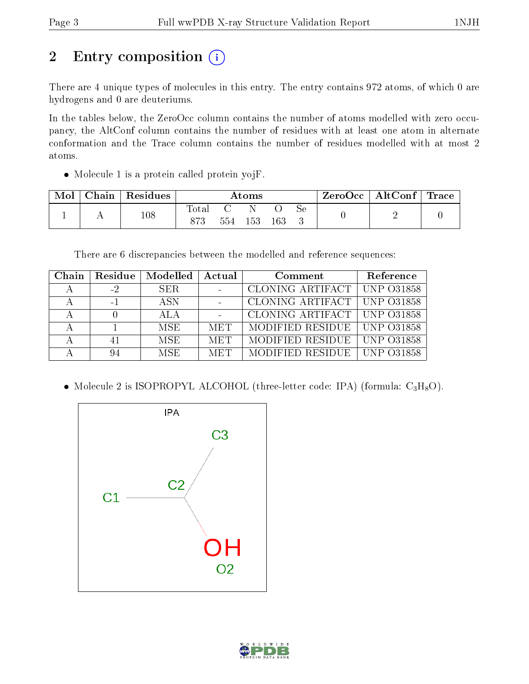# 2 Entry composition (i)

There are 4 unique types of molecules in this entry. The entry contains 972 atoms, of which 0 are hydrogens and 0 are deuteriums.

In the tables below, the ZeroOcc column contains the number of atoms modelled with zero occupancy, the AltConf column contains the number of residues with at least one atom in alternate conformation and the Trace column contains the number of residues modelled with at most 2 atoms.

• Molecule 1 is a protein called protein yojF.

| Mol | Chain | Residues | Atoms |  |         |     |    | ZeroOcc | $\mid$ AltConf $\mid$ Trace |  |
|-----|-------|----------|-------|--|---------|-----|----|---------|-----------------------------|--|
|     |       | $^{108}$ | Total |  | 554 153 | 163 | Se |         |                             |  |

There are 6 discrepancies between the modelled and reference sequences:

| Chain | Residue | Modelled | Actual     | Comment                         | Reference         |
|-------|---------|----------|------------|---------------------------------|-------------------|
|       | $-2$    | SER.     |            | CLONING ARTIFACT                | $\mid$ UNP 031858 |
|       | - 1     | A SN     |            | CLONING ARTIFACT   UNP 031858   |                   |
|       |         | ALA      |            | CLONING ARTIFACT   UNP 031858   |                   |
|       |         | MSE      | <b>MET</b> | MODIFIED RESIDUE   UNP 031858   |                   |
|       | 41      | MSE.     | <b>MET</b> | MODIFIED RESIDUE   UNP $O31858$ |                   |
|       |         | MSE      | MET        | MODIFIED RESIDUE                | -UNP 031858       |

• Molecule 2 is ISOPROPYL ALCOHOL (three-letter code: IPA) (formula:  $C_3H_8O$ ).



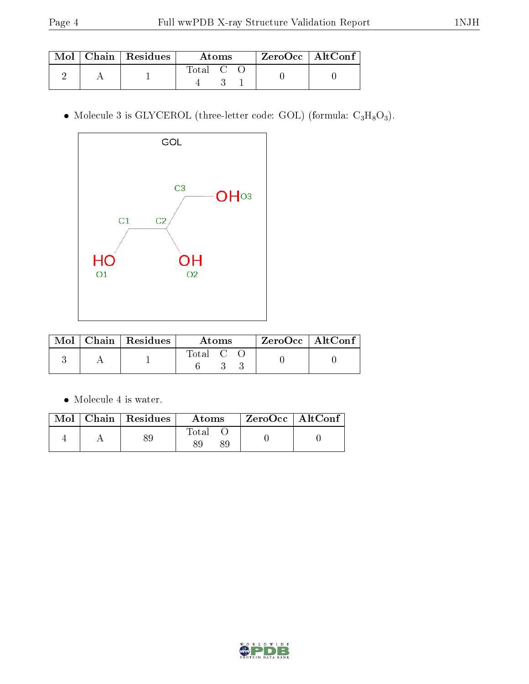|  | $\text{Mol}$   Chain   Residues | Atoms                   |  |  | $ZeroOcc$   AltConf |  |
|--|---------------------------------|-------------------------|--|--|---------------------|--|
|  |                                 | $\mathrm{Total}$ C $\,$ |  |  |                     |  |

 $\bullet$  Molecule 3 is GLYCEROL (three-letter code: GOL) (formula:  $\rm{C_3H_8O_3}).$ 



|  | $\text{Mol}$   Chain   Residues | Atoms   | ZeroOcc   AltConf |  |
|--|---------------------------------|---------|-------------------|--|
|  |                                 | Total C |                   |  |

Molecule 4 is water.

|  | $\text{Mol}$   Chain   Residues | Atoms | ZeroOcc   AltConf |  |
|--|---------------------------------|-------|-------------------|--|
|  |                                 | Total |                   |  |

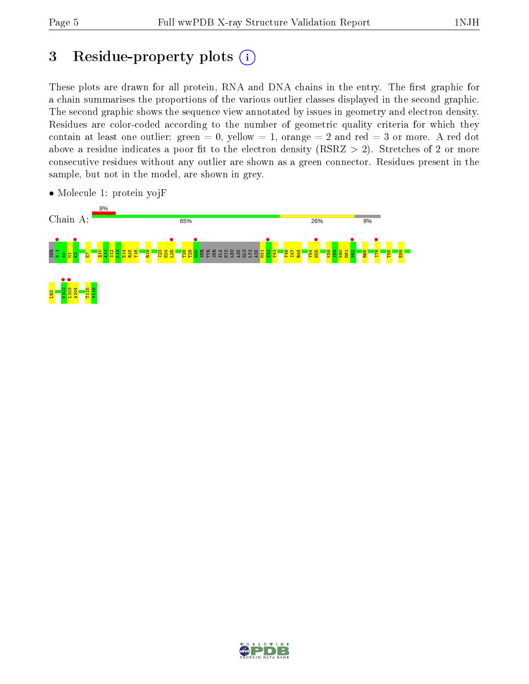# 3 Residue-property plots  $(i)$

These plots are drawn for all protein, RNA and DNA chains in the entry. The first graphic for a chain summarises the proportions of the various outlier classes displayed in the second graphic. The second graphic shows the sequence view annotated by issues in geometry and electron density. Residues are color-coded according to the number of geometric quality criteria for which they contain at least one outlier: green  $= 0$ , yellow  $= 1$ , orange  $= 2$  and red  $= 3$  or more. A red dot above a residue indicates a poor fit to the electron density (RSRZ  $> 2$ ). Stretches of 2 or more consecutive residues without any outlier are shown as a green connector. Residues present in the sample, but not in the model, are shown in grey.



• Molecule 1: protein yojF

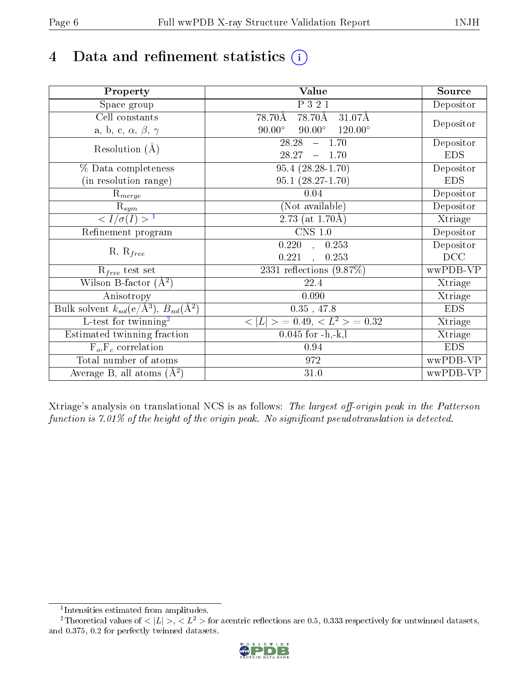# 4 Data and refinement statistics  $(i)$

| Property                                                             | Value                                            | Source     |
|----------------------------------------------------------------------|--------------------------------------------------|------------|
| Space group                                                          | P 3 2 1                                          | Depositor  |
| Cell constants                                                       | 78.70Å<br>78.70Å<br>31.07Å                       |            |
| a, b, c, $\alpha$ , $\beta$ , $\gamma$                               | $90.00^\circ$<br>$90.00^\circ$<br>$120.00^\circ$ | Depositor  |
| Resolution $(A)$                                                     | 28.28<br>$-1.70$                                 | Depositor  |
|                                                                      | 28.27<br>1.70<br>$\longrightarrow$               | <b>EDS</b> |
| % Data completeness                                                  | $95.4(28.28-1.70)$                               | Depositor  |
| (in resolution range)                                                | $95.1(28.27-1.70)$                               | <b>EDS</b> |
| $\mathrm{R}_{merge}$                                                 | 0.04                                             | Depositor  |
| $\mathrm{R}_{sym}$                                                   | (Not available)                                  | Depositor  |
| $\sqrt{I/\sigma(I)} > 1$                                             | $\overline{2.73}$ (at 1.70Å)                     | Xtriage    |
| Refinement program                                                   | $\overline{\text{CNS} 1.0}$                      | Depositor  |
|                                                                      | $\overline{0.220}$ ,<br>0.253                    | Depositor  |
| $R, R_{free}$                                                        | 0.221<br>0.253<br>$\ddot{\phantom{0}}$           | DCC        |
| $R_{free}$ test set                                                  | 2331 reflections $(9.87\%)$                      | wwPDB-VP   |
| Wilson B-factor $(A^2)$                                              | 22.4                                             | Xtriage    |
| Anisotropy                                                           | 0.090                                            | Xtriage    |
| Bulk solvent $k_{sol}(e/\mathring{A}^3)$ , $B_{sol}(\mathring{A}^2)$ | $0.35$ , 47.8                                    | <b>EDS</b> |
| $\overline{L-test for}$ twinning <sup>2</sup>                        | $< L >$ = 0.49, $< L^2 >$ = 0.32                 | Xtriage    |
| Estimated twinning fraction                                          | $0.045$ for $-h,-k,l$                            | Xtriage    |
| $F_o, F_c$ correlation                                               | 0.94                                             | <b>EDS</b> |
| Total number of atoms                                                | 972                                              | wwPDB-VP   |
| Average B, all atoms $(A^2)$                                         | $31.0\,$                                         | wwPDB-VP   |

Xtriage's analysis on translational NCS is as follows: The largest off-origin peak in the Patterson function is  $7.01\%$  of the height of the origin peak. No significant pseudotranslation is detected.

<sup>&</sup>lt;sup>2</sup>Theoretical values of  $\langle |L| \rangle$ ,  $\langle L^2 \rangle$  for acentric reflections are 0.5, 0.333 respectively for untwinned datasets, and 0.375, 0.2 for perfectly twinned datasets.



<span id="page-5-1"></span><span id="page-5-0"></span><sup>1</sup> Intensities estimated from amplitudes.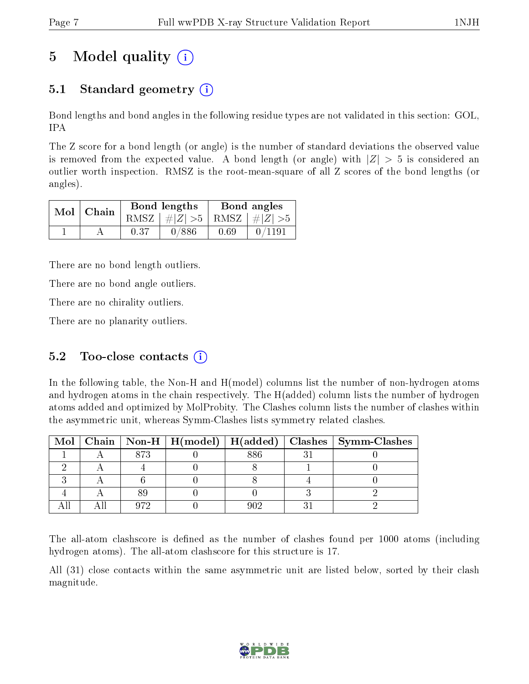# 5 Model quality  $(i)$

## 5.1 Standard geometry  $(i)$

Bond lengths and bond angles in the following residue types are not validated in this section: GOL, IPA

The Z score for a bond length (or angle) is the number of standard deviations the observed value is removed from the expected value. A bond length (or angle) with  $|Z| > 5$  is considered an outlier worth inspection. RMSZ is the root-mean-square of all Z scores of the bond lengths (or angles).

| $Mol$   Chain |      | Bond lengths                    | Bond angles |        |  |
|---------------|------|---------------------------------|-------------|--------|--|
|               |      | RMSZ $ #Z  > 5$ RMSZ $ #Z  > 5$ |             |        |  |
|               | 0.37 | 0/886                           | 0.69        | 0/1191 |  |

There are no bond length outliers.

There are no bond angle outliers.

There are no chirality outliers.

There are no planarity outliers.

### 5.2 Too-close contacts  $(i)$

In the following table, the Non-H and H(model) columns list the number of non-hydrogen atoms and hydrogen atoms in the chain respectively. The H(added) column lists the number of hydrogen atoms added and optimized by MolProbity. The Clashes column lists the number of clashes within the asymmetric unit, whereas Symm-Clashes lists symmetry related clashes.

|  |  |     | Mol   Chain   Non-H   H(model)   H(added)   Clashes   Symm-Clashes |
|--|--|-----|--------------------------------------------------------------------|
|  |  | 886 |                                                                    |
|  |  |     |                                                                    |
|  |  |     |                                                                    |
|  |  |     |                                                                    |
|  |  |     |                                                                    |

The all-atom clashscore is defined as the number of clashes found per 1000 atoms (including hydrogen atoms). The all-atom clashscore for this structure is 17.

All (31) close contacts within the same asymmetric unit are listed below, sorted by their clash magnitude.

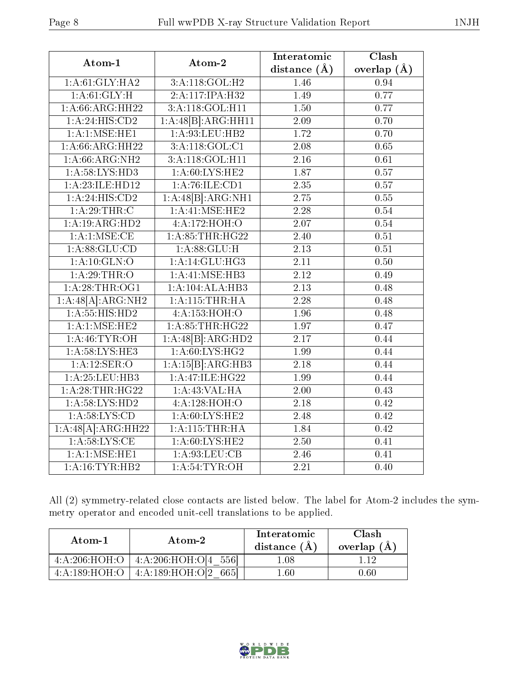| Atom-1             | Atom-2             | Interatomic       | Clash         |
|--------------------|--------------------|-------------------|---------------|
|                    |                    | distance $(A)$    | overlap $(A)$ |
| 1: A:61: GLY: HA2  | 3:A:118:GOL:H2     | 1.46              | 0.94          |
| 1: A:61: GLY:H     | 2:A:117:IPA:H32    | 1.49              | 0.77          |
| 1: A:66:ARG:HH22   | 3:A:118:GOL:H11    | 1.50              | 0.77          |
| 1: A:24: HIS:CD2   | 1:A:48[B]:ARG:HH11 | 2.09              | 0.70          |
| 1: A: 1: MSE: HE1  | 1: A:93:LEU:HB2    | 1.72              | 0.70          |
| 1: A:66:ARG:HH22   | 3:A:118:GOL:CI     | $\overline{2.08}$ | 0.65          |
| 1: A:66: ARG: NH2  | 3:A:118:GOL:H11    | $\overline{2.16}$ | $0.61\,$      |
| 1: A:58: LYS: HD3  | 1: A:60: LYS: HE2  | 1.87              | 0.57          |
| 1:A:23:ILE:HD12    | 1: A:76: ILE: CD1  | $\overline{2.35}$ | 0.57          |
| 1: A:24: HIS:CD2   | 1:A:48[B]:ARG:NH1  | $\overline{2.75}$ | 0.55          |
| 1: A:29:THR:C      | 1:A:41:MSE:HE2     | 2.28              | 0.54          |
| 1:A:19:ARG:HD2     | 4:A:172:HOH:O      | 2.07              | 0.54          |
| 1: A:1: MSE:CE     | 1: A:85:THR:HG22   | 2.40              | 0.51          |
| $1: A:88: GL$ U:CD | 1: A:88: GLU:H     | $\overline{2.13}$ | $0.51\,$      |
| 1: A:10: GLN:O     | 1: A:14: GLU:HG3   | $2.11\,$          | 0.50          |
| 1:A:29:THR:O       | 1: A:41: MSE:HB3   | 2.12              | 0.49          |
| 1: A:28:THR:OG1    | 1:A:104:ALA:HB3    | $\overline{2.13}$ | 0.48          |
| 1:A:48[A]:ARG:NH2  | 1:A:115:THR:HA     | $\overline{2.28}$ | 0.48          |
| 1: A: 55: HIS: HD2 | 4:A:153:HOH:O      | 1.96              | 0.48          |
| 1: A:1: MSE: HE2   | 1: A:85:THR:HG22   | 1.97              | 0.47          |
| 1: A:46: TYR:OH    | 1:A:48[B]:ARG:HD2  | $\overline{2.17}$ | 0.44          |
| 1: A:58:LYS:HE3    | 1: A:60: LYS:HG2   | 1.99              | 0.44          |
| 1:A:12:SER:O       | 1:A:15[B]:ARG:HB3  | 2.18              | 0.44          |
| 1:A:25:LEU:HB3     | 1:A:47:ILE:HG22    | 1.99              | 0.44          |
| 1: A:28:THR:HG22   | 1: A:43: VAL:HA    | $\overline{2.00}$ | 0.43          |
| 1: A:58: LYS: HD2  | 4:A:128:HOH:O      | 2.18              | 0.42          |
| 1: A:58: LYS:CD    | 1: A:60: LYS: HE2  | 2.48              | 0.42          |
| 1:A:48[A]:ARG:HH22 | 1: A:115:THR:HA    | 1.84              | 0.42          |
| 1: A:58:LYS:CE     | 1: A:60: LYS: HE2  | 2.50              | 0.41          |
| 1: A:1: MSE: HE1   | 1:A:93:LEU:CB      | 2.46              | 0.41          |
| 1: A:16: TYR:HB2   | 1: A:54:TYR:OH     | 2.21              | 0.40          |

All (2) symmetry-related close contacts are listed below. The label for Atom-2 includes the symmetry operator and encoded unit-cell translations to be applied.

| Atom-1           | Atom-2                   | Interatomic<br>distance $(A)$ | Clash<br>overlap $(A)$ |
|------------------|--------------------------|-------------------------------|------------------------|
| 4:A:206:HOH:O    | 4:2.206:HOH:O[4 556]     | 1.08                          |                        |
| 4: A: 189: HOH:O | 4:A:189:HOH:O[2<br>-6651 | 1.60                          | ).60                   |

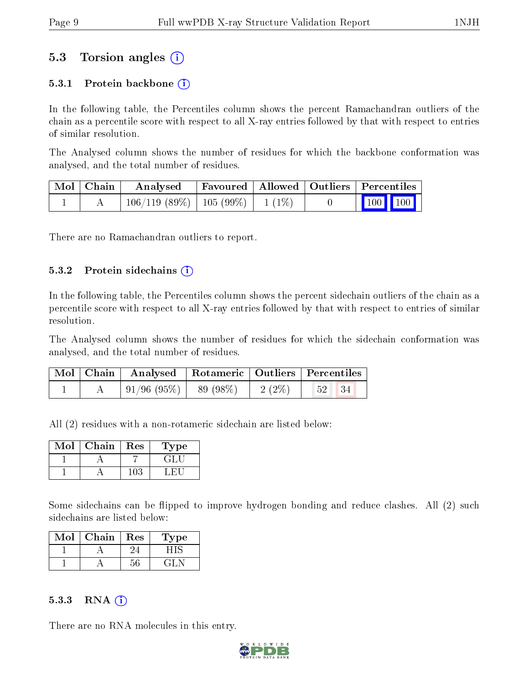### 5.3 Torsion angles (i)

#### 5.3.1 Protein backbone  $(i)$

In the following table, the Percentiles column shows the percent Ramachandran outliers of the chain as a percentile score with respect to all X-ray entries followed by that with respect to entries of similar resolution.

The Analysed column shows the number of residues for which the backbone conformation was analysed, and the total number of residues.

| Mol   Chain | Analysed                                | Favoured   Allowed   Outliers   Percentiles |  |                                                              |  |
|-------------|-----------------------------------------|---------------------------------------------|--|--------------------------------------------------------------|--|
|             | $106/119$ (89\%)   105 (99\%)   1 (1\%) |                                             |  | $\begin{array}{ c c c c c }\n\hline\n100 & 100\n\end{array}$ |  |

There are no Ramachandran outliers to report.

#### $5.3.2$  Protein sidechains  $(i)$

In the following table, the Percentiles column shows the percent sidechain outliers of the chain as a percentile score with respect to all X-ray entries followed by that with respect to entries of similar resolution.

The Analysed column shows the number of residues for which the sidechain conformation was analysed, and the total number of residues.

|  | Mol   Chain   Analysed   Rotameric   Outliers   Percentiles |  |          |                   |  |
|--|-------------------------------------------------------------|--|----------|-------------------|--|
|  | $\vert 91/96 \; (95\%) \vert 89 \; (98\%)$                  |  | $2(2\%)$ | $52 \mid 34 \mid$ |  |

All (2) residues with a non-rotameric sidechain are listed below:

| Mol | Chain | Res | Type |
|-----|-------|-----|------|
|     |       |     |      |
|     |       |     |      |

Some sidechains can be flipped to improve hydrogen bonding and reduce clashes. All (2) such sidechains are listed below:

| Mol | Chain | Res | Type |
|-----|-------|-----|------|
|     |       |     |      |
|     |       |     |      |

#### $5.3.3$  RNA  $(i)$

There are no RNA molecules in this entry.

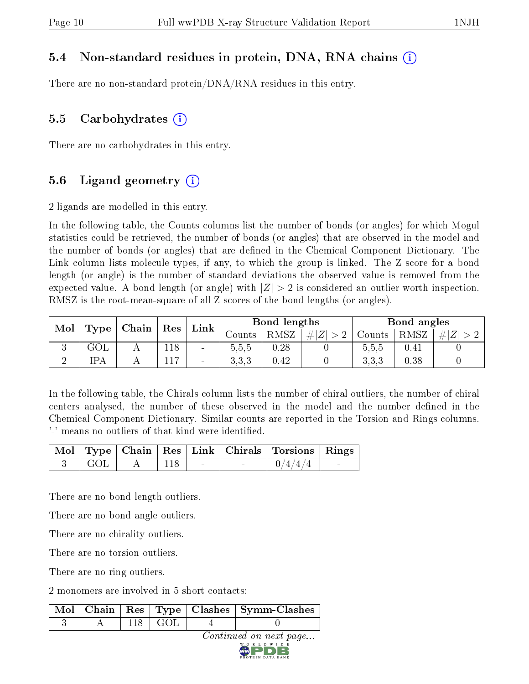### 5.4 Non-standard residues in protein, DNA, RNA chains (i)

There are no non-standard protein/DNA/RNA residues in this entry.

#### 5.5 Carbohydrates  $(i)$

There are no carbohydrates in this entry.

### 5.6 Ligand geometry  $(i)$

2 ligands are modelled in this entry.

In the following table, the Counts columns list the number of bonds (or angles) for which Mogul statistics could be retrieved, the number of bonds (or angles) that are observed in the model and the number of bonds (or angles) that are dened in the Chemical Component Dictionary. The Link column lists molecule types, if any, to which the group is linked. The Z score for a bond length (or angle) is the number of standard deviations the observed value is removed from the expected value. A bond length (or angle) with  $|Z| > 2$  is considered an outlier worth inspection. RMSZ is the root-mean-square of all Z scores of the bond lengths (or angles).

| Mol | Chain<br>Type<br>Res<br>Link |  |                | Bond lengths |                |      | Bond angles |        |      |     |
|-----|------------------------------|--|----------------|--------------|----------------|------|-------------|--------|------|-----|
|     |                              |  |                |              | Jounts-        | RMSZ | Z <br>#     | Counts | RMSZ | #Z' |
| ιJ  | GOL                          |  | 118            | $\sim$       | 5.5.5          | 0.28 |             | 5.5,5  | 0.41 |     |
|     | IPA                          |  | $\overline{ }$ | $\sim$       | ० ० ०<br>∪.∪.∪ | 0.42 |             | 3,3,3  | 0.38 |     |

In the following table, the Chirals column lists the number of chiral outliers, the number of chiral centers analysed, the number of these observed in the model and the number defined in the Chemical Component Dictionary. Similar counts are reported in the Torsion and Rings columns. '-' means no outliers of that kind were identified.

|                              |     |  | Mol   Type   Chain   Res   Link   Chirals   Torsions   Rings |  |
|------------------------------|-----|--|--------------------------------------------------------------|--|
| $\overline{\phantom{0}}$ GOL | 118 |  | 0/4/4/4                                                      |  |

There are no bond length outliers.

There are no bond angle outliers.

There are no chirality outliers.

There are no torsion outliers.

There are no ring outliers.

2 monomers are involved in 5 short contacts:

|  |           | Mol   Chain   Res   Type   Clashes   Symm-Clashes |
|--|-----------|---------------------------------------------------|
|  | 118 L GOL |                                                   |

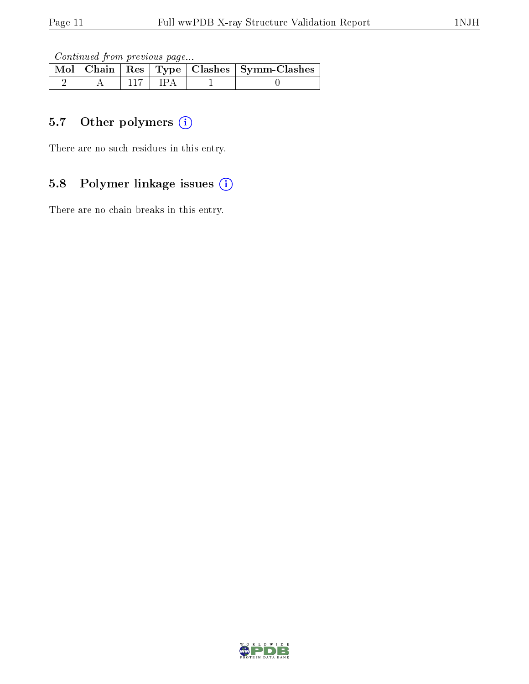Continued from previous page...

|  |  | Mol   Chain   Res   Type   Clashes   Symm-Clashes |
|--|--|---------------------------------------------------|
|  |  |                                                   |

## 5.7 [O](https://www.wwpdb.org/validation/2017/XrayValidationReportHelp#nonstandard_residues_and_ligands)ther polymers (i)

There are no such residues in this entry.

## 5.8 Polymer linkage issues (i)

There are no chain breaks in this entry.

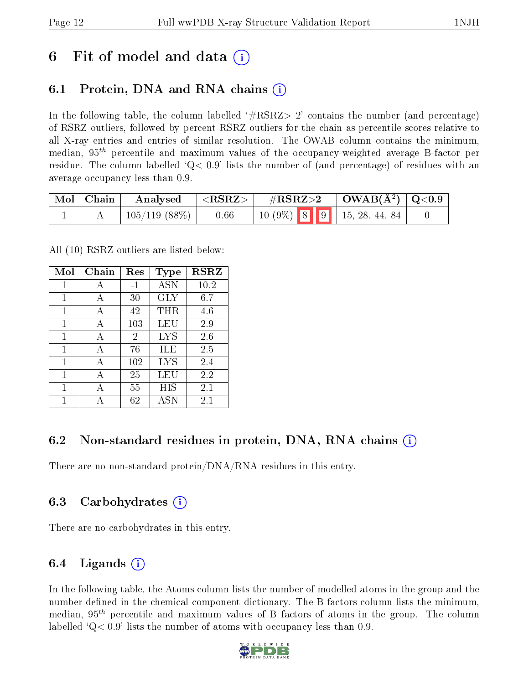# 6 Fit of model and data  $\left( \cdot \right)$

### 6.1 Protein, DNA and RNA chains (i)

In the following table, the column labelled  $#RSRZ>2'$  contains the number (and percentage) of RSRZ outliers, followed by percent RSRZ outliers for the chain as percentile scores relative to all X-ray entries and entries of similar resolution. The OWAB column contains the minimum, median,  $95<sup>th</sup>$  percentile and maximum values of the occupancy-weighted average B-factor per residue. The column labelled  $Q< 0.9$  lists the number of (and percentage) of residues with an average occupancy less than 0.9.

| $\mid$ Mol $\mid$ Chain $\mid$ | <b>Analysed</b>             | $^+$ <rsrz> <math>\pm</math></rsrz> |                                                                                                  | $\#RSRZ>2$ $\Box$ OWAB( $A^2$ ) $\Box$ Q<0.9 |  |
|--------------------------------|-----------------------------|-------------------------------------|--------------------------------------------------------------------------------------------------|----------------------------------------------|--|
|                                | $\mid$ 105/119 (88%) $\mid$ | 0.66                                | $\begin{array}{ c c c c c c c c } \hline 10 & 9\% & 8 & 9 & 15, 28, 44, 84 \ \hline \end{array}$ |                                              |  |

All (10) RSRZ outliers are listed below:

| Mol | Chain | Res  | <b>Type</b> | <b>RSRZ</b> |  |
|-----|-------|------|-------------|-------------|--|
| 1   | A     | $-1$ | <b>ASN</b>  | 10.2        |  |
| 1   | A     | 30   | GLY         | 6.7         |  |
| 1   | A     | 42   | $\rm THR$   | 4.6         |  |
| 1   | A     | 103  | LEU         | 2.9         |  |
| 1   | A     | 2    | LYS         | 2.6         |  |
| 1   | A     | 76   | ILE         | 2.5         |  |
| 1   | A     | 102  | <b>LYS</b>  | 2.4         |  |
| 1   | A     | 25   | LEU         | 2.2         |  |
| 1   | А     | 55   | НIS         | 2.1         |  |
| 1   |       | 62   | <b>ASN</b>  | 2.1         |  |

### 6.2 Non-standard residues in protein, DNA, RNA chains (i)

There are no non-standard protein/DNA/RNA residues in this entry.

### 6.3 Carbohydrates (i)

There are no carbohydrates in this entry.

### 6.4 Ligands  $(i)$

In the following table, the Atoms column lists the number of modelled atoms in the group and the number defined in the chemical component dictionary. The B-factors column lists the minimum, median,  $95<sup>th</sup>$  percentile and maximum values of B factors of atoms in the group. The column labelled  $Q< 0.9$ ' lists the number of atoms with occupancy less than 0.9.